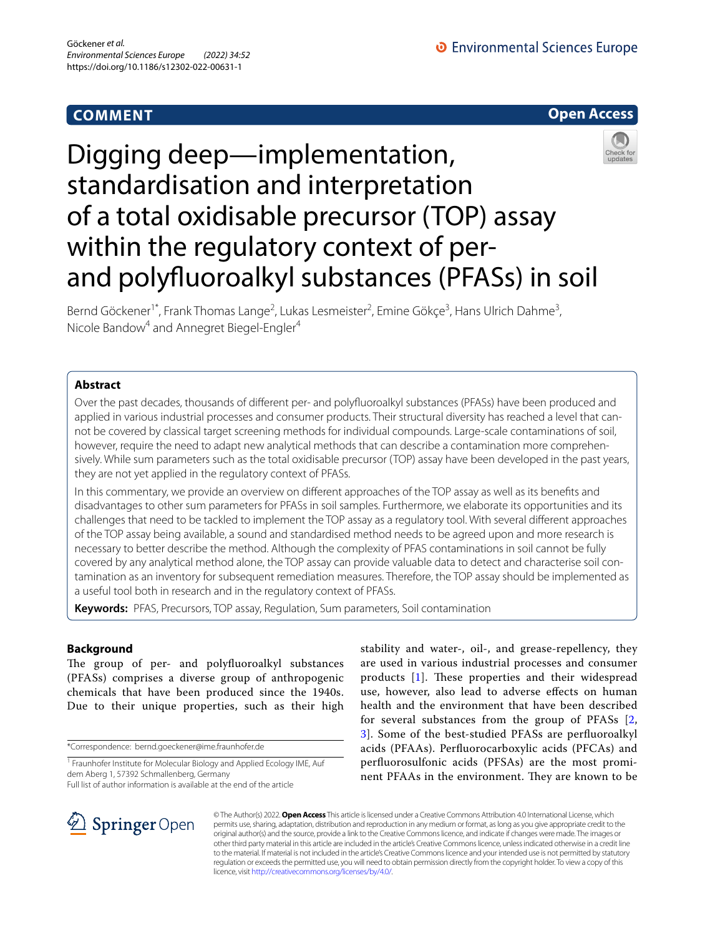# **COMMENT**

**O** Environmental Sciences Europe



# Digging deep—implementation, standardisation and interpretation of a total oxidisable precursor (TOP) assay within the regulatory context of perand polyfuoroalkyl substances (PFASs) in soil

Bernd Göckener<sup>1\*</sup>, Frank Thomas Lange<sup>2</sup>, Lukas Lesmeister<sup>2</sup>, Emine Gökçe<sup>3</sup>, Hans Ulrich Dahme<sup>3</sup>, Nicole Bandow<sup>4</sup> and Annegret Biegel-Engler<sup>4</sup>

# **Abstract**

Over the past decades, thousands of diferent per- and polyfuoroalkyl substances (PFASs) have been produced and applied in various industrial processes and consumer products. Their structural diversity has reached a level that cannot be covered by classical target screening methods for individual compounds. Large-scale contaminations of soil, however, require the need to adapt new analytical methods that can describe a contamination more comprehensively. While sum parameters such as the total oxidisable precursor (TOP) assay have been developed in the past years, they are not yet applied in the regulatory context of PFASs.

In this commentary, we provide an overview on diferent approaches of the TOP assay as well as its benefts and disadvantages to other sum parameters for PFASs in soil samples. Furthermore, we elaborate its opportunities and its challenges that need to be tackled to implement the TOP assay as a regulatory tool. With several diferent approaches of the TOP assay being available, a sound and standardised method needs to be agreed upon and more research is necessary to better describe the method. Although the complexity of PFAS contaminations in soil cannot be fully covered by any analytical method alone, the TOP assay can provide valuable data to detect and characterise soil contamination as an inventory for subsequent remediation measures. Therefore, the TOP assay should be implemented as a useful tool both in research and in the regulatory context of PFASs.

**Keywords:** PFAS, Precursors, TOP assay, Regulation, Sum parameters, Soil contamination

# **Background**

The group of per- and polyfluoroalkyl substances (PFASs) comprises a diverse group of anthropogenic chemicals that have been produced since the 1940s. Due to their unique properties, such as their high

\*Correspondence: bernd.goeckener@ime.fraunhofer.de

Full list of author information is available at the end of the article

stability and water-, oil-, and grease-repellency, they are used in various industrial processes and consumer products  $[1]$  $[1]$ . These properties and their widespread use, however, also lead to adverse efects on human health and the environment that have been described for several substances from the group of PFASs [\[2](#page-7-1), [3\]](#page-7-2). Some of the best-studied PFASs are perfuoroalkyl acids (PFAAs). Perfuorocarboxylic acids (PFCAs) and perfuorosulfonic acids (PFSAs) are the most prominent PFAAs in the environment. They are known to be



© The Author(s) 2022. **Open Access** This article is licensed under a Creative Commons Attribution 4.0 International License, which permits use, sharing, adaptation, distribution and reproduction in any medium or format, as long as you give appropriate credit to the original author(s) and the source, provide a link to the Creative Commons licence, and indicate if changes were made. The images or other third party material in this article are included in the article's Creative Commons licence, unless indicated otherwise in a credit line to the material. If material is not included in the article's Creative Commons licence and your intended use is not permitted by statutory regulation or exceeds the permitted use, you will need to obtain permission directly from the copyright holder. To view a copy of this licence, visit [http://creativecommons.org/licenses/by/4.0/.](http://creativecommons.org/licenses/by/4.0/)

<sup>&</sup>lt;sup>1</sup> Fraunhofer Institute for Molecular Biology and Applied Ecology IME, Auf dem Aberg 1, 57392 Schmallenberg, Germany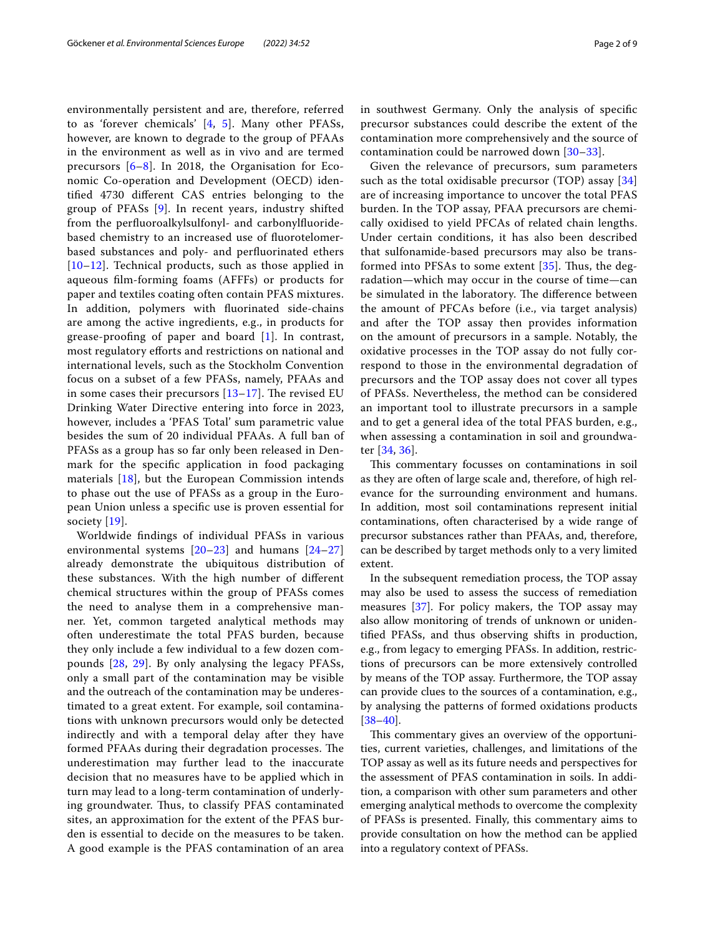environmentally persistent and are, therefore, referred to as 'forever chemicals' [[4,](#page-7-3) [5\]](#page-7-4). Many other PFASs, however, are known to degrade to the group of PFAAs in the environment as well as in vivo and are termed precursors [[6–](#page-7-5)[8\]](#page-7-6). In 2018, the Organisation for Economic Co-operation and Development (OECD) identifed 4730 diferent CAS entries belonging to the group of PFASs [[9\]](#page-7-7). In recent years, industry shifted from the perfuoroalkylsulfonyl- and carbonylfuoridebased chemistry to an increased use of fuorotelomerbased substances and poly- and perfuorinated ethers [[10](#page-7-8)[–12](#page-7-9)]. Technical products, such as those applied in aqueous flm-forming foams (AFFFs) or products for paper and textiles coating often contain PFAS mixtures. In addition, polymers with fuorinated side-chains are among the active ingredients, e.g., in products for grease-proofng of paper and board [[1\]](#page-7-0). In contrast, most regulatory efforts and restrictions on national and international levels, such as the Stockholm Convention focus on a subset of a few PFASs, namely, PFAAs and in some cases their precursors  $[13-17]$  $[13-17]$ . The revised EU Drinking Water Directive entering into force in 2023, however, includes a 'PFAS Total' sum parametric value besides the sum of 20 individual PFAAs. A full ban of PFASs as a group has so far only been released in Denmark for the specifc application in food packaging materials [[18\]](#page-7-12), but the European Commission intends to phase out the use of PFASs as a group in the European Union unless a specifc use is proven essential for society [[19](#page-7-13)].

Worldwide fndings of individual PFASs in various environmental systems  $[20-23]$  $[20-23]$  and humans  $[24-27]$  $[24-27]$  $[24-27]$ already demonstrate the ubiquitous distribution of these substances. With the high number of diferent chemical structures within the group of PFASs comes the need to analyse them in a comprehensive manner. Yet, common targeted analytical methods may often underestimate the total PFAS burden, because they only include a few individual to a few dozen compounds [[28,](#page-7-18) [29](#page-7-19)]. By only analysing the legacy PFASs, only a small part of the contamination may be visible and the outreach of the contamination may be underestimated to a great extent. For example, soil contaminations with unknown precursors would only be detected indirectly and with a temporal delay after they have formed PFAAs during their degradation processes. The underestimation may further lead to the inaccurate decision that no measures have to be applied which in turn may lead to a long-term contamination of underlying groundwater. Thus, to classify PFAS contaminated sites, an approximation for the extent of the PFAS burden is essential to decide on the measures to be taken. A good example is the PFAS contamination of an area in southwest Germany. Only the analysis of specifc precursor substances could describe the extent of the contamination more comprehensively and the source of contamination could be narrowed down [\[30](#page-7-20)[–33](#page-7-21)].

Given the relevance of precursors, sum parameters such as the total oxidisable precursor (TOP) assay [\[34](#page-7-22)] are of increasing importance to uncover the total PFAS burden. In the TOP assay, PFAA precursors are chemically oxidised to yield PFCAs of related chain lengths. Under certain conditions, it has also been described that sulfonamide-based precursors may also be transformed into PFSAs to some extent  $[35]$  $[35]$ . Thus, the degradation—which may occur in the course of time—can be simulated in the laboratory. The difference between the amount of PFCAs before (i.e., via target analysis) and after the TOP assay then provides information on the amount of precursors in a sample. Notably, the oxidative processes in the TOP assay do not fully correspond to those in the environmental degradation of precursors and the TOP assay does not cover all types of PFASs. Nevertheless, the method can be considered an important tool to illustrate precursors in a sample and to get a general idea of the total PFAS burden, e.g., when assessing a contamination in soil and groundwater [\[34](#page-7-22), [36](#page-7-24)].

This commentary focusses on contaminations in soil as they are often of large scale and, therefore, of high relevance for the surrounding environment and humans. In addition, most soil contaminations represent initial contaminations, often characterised by a wide range of precursor substances rather than PFAAs, and, therefore, can be described by target methods only to a very limited extent.

In the subsequent remediation process, the TOP assay may also be used to assess the success of remediation measures [[37\]](#page-7-25). For policy makers, the TOP assay may also allow monitoring of trends of unknown or unidentifed PFASs, and thus observing shifts in production, e.g., from legacy to emerging PFASs. In addition, restrictions of precursors can be more extensively controlled by means of the TOP assay. Furthermore, the TOP assay can provide clues to the sources of a contamination, e.g., by analysing the patterns of formed oxidations products [[38–](#page-7-26)[40\]](#page-8-0).

This commentary gives an overview of the opportunities, current varieties, challenges, and limitations of the TOP assay as well as its future needs and perspectives for the assessment of PFAS contamination in soils. In addition, a comparison with other sum parameters and other emerging analytical methods to overcome the complexity of PFASs is presented. Finally, this commentary aims to provide consultation on how the method can be applied into a regulatory context of PFASs.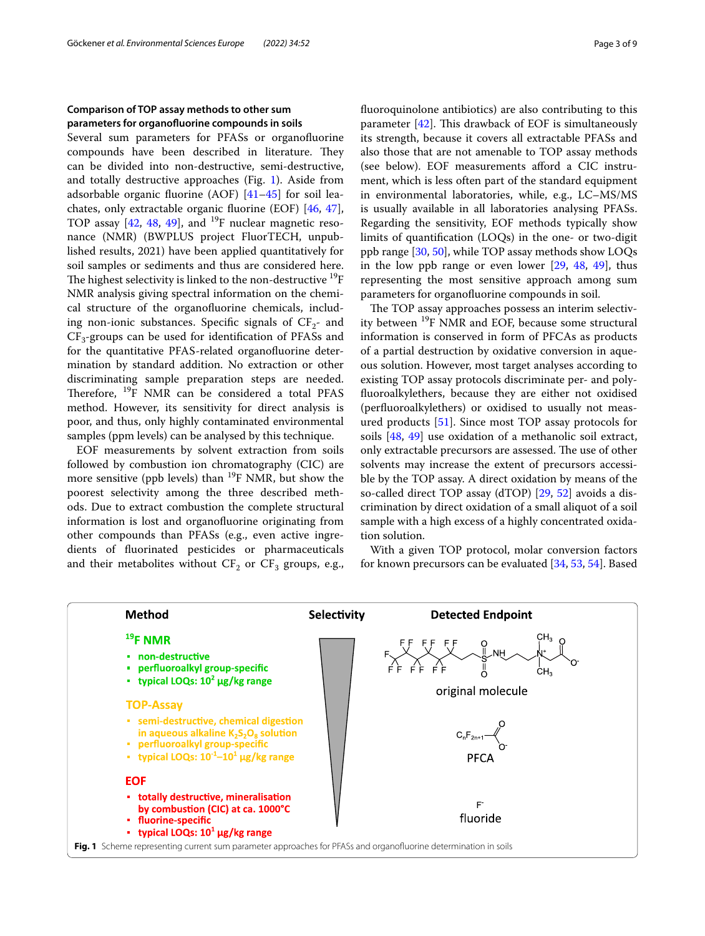# **Comparison of TOP assay methods to other sum parameters for organofuorine compounds in soils**

Several sum parameters for PFASs or organofuorine compounds have been described in literature. They can be divided into non-destructive, semi-destructive, and totally destructive approaches (Fig. [1](#page-2-0)). Aside from adsorbable organic fuorine (AOF) [[41–](#page-8-1)[45\]](#page-8-2) for soil leachates, only extractable organic fuorine (EOF) [[46,](#page-8-3) [47](#page-8-4)], TOP assay  $[42, 48, 49]$  $[42, 48, 49]$  $[42, 48, 49]$  $[42, 48, 49]$  $[42, 48, 49]$ , and <sup>19</sup>F nuclear magnetic resonance (NMR) (BWPLUS project FluorTECH, unpublished results, 2021) have been applied quantitatively for soil samples or sediments and thus are considered here. The highest selectivity is linked to the non-destructive  $^{19}F$ NMR analysis giving spectral information on the chemical structure of the organofuorine chemicals, including non-ionic substances. Specific signals of  $CF_{2}$ - and  $CF_3$ -groups can be used for identification of PFASs and for the quantitative PFAS-related organofuorine determination by standard addition. No extraction or other discriminating sample preparation steps are needed. Therefore, <sup>19</sup>F NMR can be considered a total PFAS method. However, its sensitivity for direct analysis is poor, and thus, only highly contaminated environmental samples (ppm levels) can be analysed by this technique.

EOF measurements by solvent extraction from soils followed by combustion ion chromatography (CIC) are more sensitive (ppb levels) than  $^{19}$ F NMR, but show the poorest selectivity among the three described methods. Due to extract combustion the complete structural information is lost and organofuorine originating from other compounds than PFASs (e.g., even active ingredients of fuorinated pesticides or pharmaceuticals and their metabolites without  $CF_2$  or  $CF_3$  groups, e.g.,

fuoroquinolone antibiotics) are also contributing to this parameter  $[42]$  $[42]$ . This drawback of EOF is simultaneously its strength, because it covers all extractable PFASs and also those that are not amenable to TOP assay methods (see below). EOF measurements afford a CIC instrument, which is less often part of the standard equipment in environmental laboratories, while, e.g., LC–MS/MS is usually available in all laboratories analysing PFASs. Regarding the sensitivity, EOF methods typically show limits of quantifcation (LOQs) in the one- or two-digit ppb range [[30,](#page-7-20) [50](#page-8-8)], while TOP assay methods show LOQs in the low ppb range or even lower [\[29](#page-7-19), [48,](#page-8-6) [49](#page-8-7)], thus representing the most sensitive approach among sum parameters for organofuorine compounds in soil.

The TOP assay approaches possess an interim selectivity between <sup>19</sup>F NMR and EOF, because some structural information is conserved in form of PFCAs as products of a partial destruction by oxidative conversion in aqueous solution. However, most target analyses according to existing TOP assay protocols discriminate per- and polyfuoroalkylethers, because they are either not oxidised (perfuoroalkylethers) or oxidised to usually not measured products [\[51\]](#page-8-9). Since most TOP assay protocols for soils [\[48](#page-8-6), [49\]](#page-8-7) use oxidation of a methanolic soil extract, only extractable precursors are assessed. The use of other solvents may increase the extent of precursors accessible by the TOP assay. A direct oxidation by means of the so-called direct TOP assay (dTOP) [\[29](#page-7-19), [52](#page-8-10)] avoids a discrimination by direct oxidation of a small aliquot of a soil sample with a high excess of a highly concentrated oxidation solution.

With a given TOP protocol, molar conversion factors for known precursors can be evaluated [\[34,](#page-7-22) [53](#page-8-11), [54\]](#page-8-12). Based

<span id="page-2-0"></span>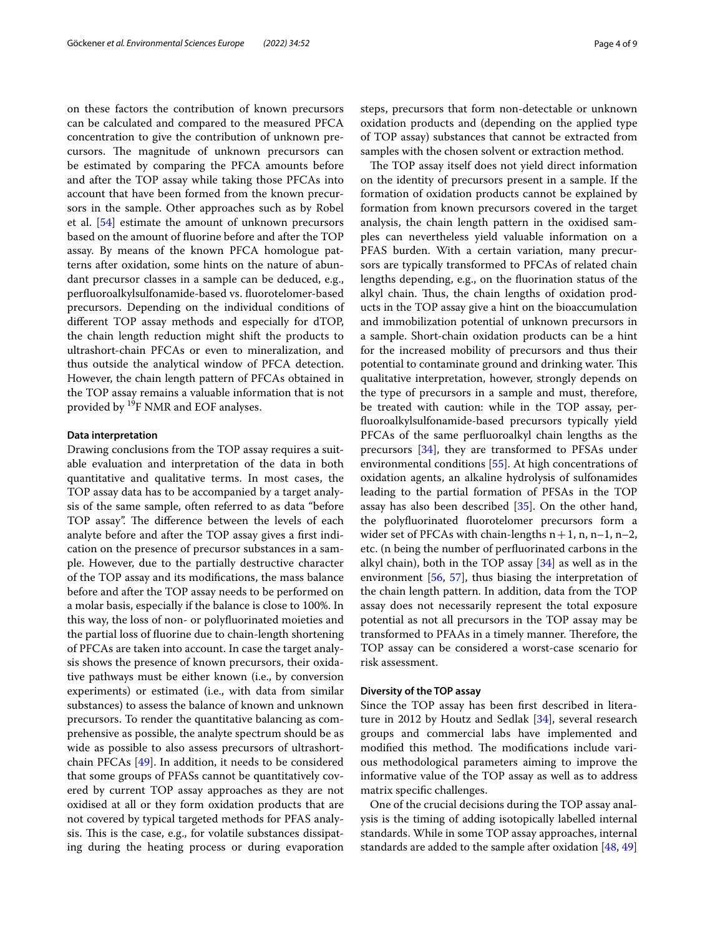on these factors the contribution of known precursors can be calculated and compared to the measured PFCA concentration to give the contribution of unknown precursors. The magnitude of unknown precursors can be estimated by comparing the PFCA amounts before and after the TOP assay while taking those PFCAs into account that have been formed from the known precursors in the sample. Other approaches such as by Robel et al. [[54](#page-8-12)] estimate the amount of unknown precursors based on the amount of fuorine before and after the TOP assay. By means of the known PFCA homologue patterns after oxidation, some hints on the nature of abundant precursor classes in a sample can be deduced, e.g., perfuoroalkylsulfonamide-based vs. fuorotelomer-based precursors. Depending on the individual conditions of diferent TOP assay methods and especially for dTOP, the chain length reduction might shift the products to ultrashort-chain PFCAs or even to mineralization, and thus outside the analytical window of PFCA detection. However, the chain length pattern of PFCAs obtained in the TOP assay remains a valuable information that is not provided by 19F NMR and EOF analyses.

#### **Data interpretation**

Drawing conclusions from the TOP assay requires a suitable evaluation and interpretation of the data in both quantitative and qualitative terms. In most cases, the TOP assay data has to be accompanied by a target analysis of the same sample, often referred to as data "before TOP assay". The difference between the levels of each analyte before and after the TOP assay gives a frst indication on the presence of precursor substances in a sample. However, due to the partially destructive character of the TOP assay and its modifcations, the mass balance before and after the TOP assay needs to be performed on a molar basis, especially if the balance is close to 100%. In this way, the loss of non- or polyfuorinated moieties and the partial loss of fuorine due to chain-length shortening of PFCAs are taken into account. In case the target analysis shows the presence of known precursors, their oxidative pathways must be either known (i.e., by conversion experiments) or estimated (i.e., with data from similar substances) to assess the balance of known and unknown precursors. To render the quantitative balancing as comprehensive as possible, the analyte spectrum should be as wide as possible to also assess precursors of ultrashortchain PFCAs [[49\]](#page-8-7). In addition, it needs to be considered that some groups of PFASs cannot be quantitatively covered by current TOP assay approaches as they are not oxidised at all or they form oxidation products that are not covered by typical targeted methods for PFAS analysis. This is the case, e.g., for volatile substances dissipating during the heating process or during evaporation steps, precursors that form non-detectable or unknown oxidation products and (depending on the applied type of TOP assay) substances that cannot be extracted from samples with the chosen solvent or extraction method.

The TOP assay itself does not yield direct information on the identity of precursors present in a sample. If the formation of oxidation products cannot be explained by formation from known precursors covered in the target analysis, the chain length pattern in the oxidised samples can nevertheless yield valuable information on a PFAS burden. With a certain variation, many precursors are typically transformed to PFCAs of related chain lengths depending, e.g., on the fuorination status of the alkyl chain. Thus, the chain lengths of oxidation products in the TOP assay give a hint on the bioaccumulation and immobilization potential of unknown precursors in a sample. Short-chain oxidation products can be a hint for the increased mobility of precursors and thus their potential to contaminate ground and drinking water. This qualitative interpretation, however, strongly depends on the type of precursors in a sample and must, therefore, be treated with caution: while in the TOP assay, perfuoroalkylsulfonamide-based precursors typically yield PFCAs of the same perfuoroalkyl chain lengths as the precursors [\[34\]](#page-7-22), they are transformed to PFSAs under environmental conditions [[55\]](#page-8-13). At high concentrations of oxidation agents, an alkaline hydrolysis of sulfonamides leading to the partial formation of PFSAs in the TOP assay has also been described [\[35](#page-7-23)]. On the other hand, the polyfuorinated fuorotelomer precursors form a wider set of PFCAs with chain-lengths  $n+1$ , n, n–1, n–2, etc. (n being the number of perfuorinated carbons in the alkyl chain), both in the TOP assay [\[34](#page-7-22)] as well as in the environment [\[56](#page-8-14), [57\]](#page-8-15), thus biasing the interpretation of the chain length pattern. In addition, data from the TOP assay does not necessarily represent the total exposure potential as not all precursors in the TOP assay may be transformed to PFAAs in a timely manner. Therefore, the TOP assay can be considered a worst-case scenario for risk assessment.

## **Diversity of the TOP assay**

Since the TOP assay has been frst described in literature in 2012 by Houtz and Sedlak [[34](#page-7-22)], several research groups and commercial labs have implemented and modified this method. The modifications include various methodological parameters aiming to improve the informative value of the TOP assay as well as to address matrix specifc challenges.

One of the crucial decisions during the TOP assay analysis is the timing of adding isotopically labelled internal standards. While in some TOP assay approaches, internal standards are added to the sample after oxidation [\[48](#page-8-6), [49](#page-8-7)]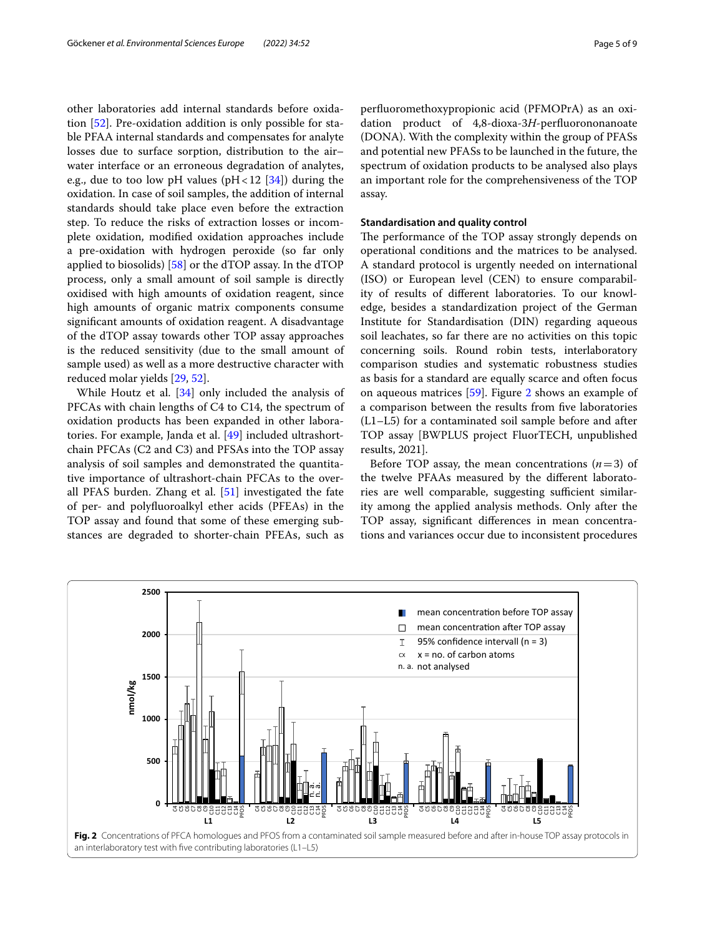other laboratories add internal standards before oxidation [\[52](#page-8-10)]. Pre-oxidation addition is only possible for stable PFAA internal standards and compensates for analyte losses due to surface sorption, distribution to the air– water interface or an erroneous degradation of analytes, e.g., due to too low pH values (pH <  $12$  [\[34\]](#page-7-22)) during the oxidation. In case of soil samples, the addition of internal standards should take place even before the extraction step. To reduce the risks of extraction losses or incomplete oxidation, modifed oxidation approaches include a pre-oxidation with hydrogen peroxide (so far only applied to biosolids) [[58\]](#page-8-16) or the dTOP assay. In the dTOP process, only a small amount of soil sample is directly oxidised with high amounts of oxidation reagent, since high amounts of organic matrix components consume signifcant amounts of oxidation reagent. A disadvantage of the dTOP assay towards other TOP assay approaches is the reduced sensitivity (due to the small amount of sample used) as well as a more destructive character with reduced molar yields [\[29](#page-7-19), [52\]](#page-8-10).

While Houtz et al. [[34](#page-7-22)] only included the analysis of PFCAs with chain lengths of C4 to C14, the spectrum of oxidation products has been expanded in other laboratories. For example, Janda et al. [\[49](#page-8-7)] included ultrashortchain PFCAs (C2 and C3) and PFSAs into the TOP assay analysis of soil samples and demonstrated the quantitative importance of ultrashort-chain PFCAs to the overall PFAS burden. Zhang et al. [\[51](#page-8-9)] investigated the fate of per- and polyfuoroalkyl ether acids (PFEAs) in the TOP assay and found that some of these emerging substances are degraded to shorter-chain PFEAs, such as perfuoromethoxypropionic acid (PFMOPrA) as an oxidation product of 4,8-dioxa-3*H*-perfuorononanoate (DONA). With the complexity within the group of PFASs and potential new PFASs to be launched in the future, the spectrum of oxidation products to be analysed also plays an important role for the comprehensiveness of the TOP assay.

## **Standardisation and quality control**

The performance of the TOP assay strongly depends on operational conditions and the matrices to be analysed. A standard protocol is urgently needed on international (ISO) or European level (CEN) to ensure comparability of results of diferent laboratories. To our knowledge, besides a standardization project of the German Institute for Standardisation (DIN) regarding aqueous soil leachates, so far there are no activities on this topic concerning soils. Round robin tests, interlaboratory comparison studies and systematic robustness studies as basis for a standard are equally scarce and often focus on aqueous matrices [[59\]](#page-8-17). Figure [2](#page-4-0) shows an example of a comparison between the results from fve laboratories (L1–L5) for a contaminated soil sample before and after TOP assay [BWPLUS project FluorTECH, unpublished results, 2021].

Before TOP assay, the mean concentrations  $(n=3)$  of the twelve PFAAs measured by the diferent laboratories are well comparable, suggesting sufficient similarity among the applied analysis methods. Only after the TOP assay, signifcant diferences in mean concentrations and variances occur due to inconsistent procedures

<span id="page-4-0"></span>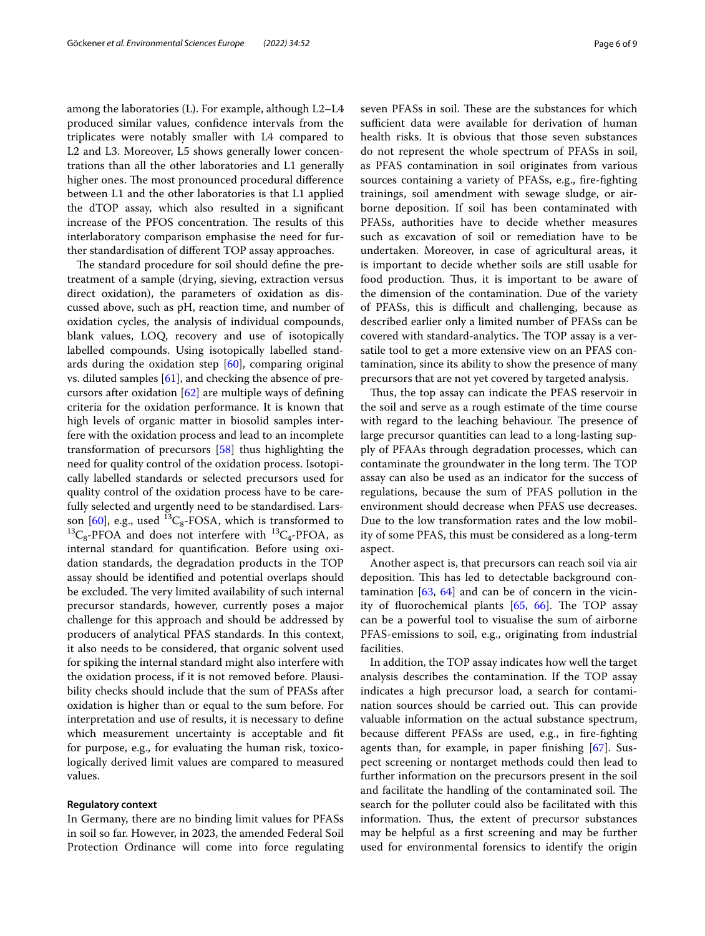among the laboratories (L). For example, although L2–L4 produced similar values, confdence intervals from the triplicates were notably smaller with L4 compared to L2 and L3. Moreover, L5 shows generally lower concentrations than all the other laboratories and L1 generally higher ones. The most pronounced procedural difference between L1 and the other laboratories is that L1 applied the dTOP assay, which also resulted in a signifcant increase of the PFOS concentration. The results of this interlaboratory comparison emphasise the need for further standardisation of diferent TOP assay approaches.

The standard procedure for soil should define the pretreatment of a sample (drying, sieving, extraction versus direct oxidation), the parameters of oxidation as discussed above, such as pH, reaction time, and number of oxidation cycles, the analysis of individual compounds, blank values, LOQ, recovery and use of isotopically labelled compounds. Using isotopically labelled standards during the oxidation step  $[60]$ , comparing original vs. diluted samples [\[61](#page-8-19)], and checking the absence of precursors after oxidation [[62\]](#page-8-20) are multiple ways of defning criteria for the oxidation performance. It is known that high levels of organic matter in biosolid samples interfere with the oxidation process and lead to an incomplete transformation of precursors [\[58](#page-8-16)] thus highlighting the need for quality control of the oxidation process. Isotopically labelled standards or selected precursors used for quality control of the oxidation process have to be carefully selected and urgently need to be standardised. Lars-son [[60\]](#page-8-18), e.g., used  ${}^{13}C_8$ -FOSA, which is transformed to <sup>13</sup>C<sub>8</sub>-PFOA and does not interfere with <sup>13</sup>C<sub>4</sub>-PFOA, as internal standard for quantifcation. Before using oxidation standards, the degradation products in the TOP assay should be identifed and potential overlaps should be excluded. The very limited availability of such internal precursor standards, however, currently poses a major challenge for this approach and should be addressed by producers of analytical PFAS standards. In this context, it also needs to be considered, that organic solvent used for spiking the internal standard might also interfere with the oxidation process, if it is not removed before. Plausibility checks should include that the sum of PFASs after oxidation is higher than or equal to the sum before. For interpretation and use of results, it is necessary to defne which measurement uncertainty is acceptable and fit for purpose, e.g., for evaluating the human risk, toxicologically derived limit values are compared to measured values.

# **Regulatory context**

In Germany, there are no binding limit values for PFASs in soil so far. However, in 2023, the amended Federal Soil Protection Ordinance will come into force regulating seven PFASs in soil. These are the substances for which sufficient data were available for derivation of human health risks. It is obvious that those seven substances do not represent the whole spectrum of PFASs in soil, as PFAS contamination in soil originates from various sources containing a variety of PFASs, e.g., fre-fghting trainings, soil amendment with sewage sludge, or airborne deposition. If soil has been contaminated with PFASs, authorities have to decide whether measures such as excavation of soil or remediation have to be undertaken. Moreover, in case of agricultural areas, it is important to decide whether soils are still usable for food production. Thus, it is important to be aware of the dimension of the contamination. Due of the variety of PFASs, this is difficult and challenging, because as described earlier only a limited number of PFASs can be covered with standard-analytics. The TOP assay is a versatile tool to get a more extensive view on an PFAS contamination, since its ability to show the presence of many precursors that are not yet covered by targeted analysis.

Thus, the top assay can indicate the PFAS reservoir in the soil and serve as a rough estimate of the time course with regard to the leaching behaviour. The presence of large precursor quantities can lead to a long-lasting supply of PFAAs through degradation processes, which can contaminate the groundwater in the long term. The TOP assay can also be used as an indicator for the success of regulations, because the sum of PFAS pollution in the environment should decrease when PFAS use decreases. Due to the low transformation rates and the low mobility of some PFAS, this must be considered as a long-term aspect.

Another aspect is, that precursors can reach soil via air deposition. This has led to detectable background contamination  $[63, 64]$  $[63, 64]$  $[63, 64]$  and can be of concern in the vicinity of fluorochemical plants  $[65, 66]$  $[65, 66]$  $[65, 66]$  $[65, 66]$ . The TOP assay can be a powerful tool to visualise the sum of airborne PFAS-emissions to soil, e.g., originating from industrial facilities.

In addition, the TOP assay indicates how well the target analysis describes the contamination. If the TOP assay indicates a high precursor load, a search for contamination sources should be carried out. This can provide valuable information on the actual substance spectrum, because diferent PFASs are used, e.g., in fre-fghting agents than, for example, in paper fnishing [[67\]](#page-8-25). Suspect screening or nontarget methods could then lead to further information on the precursors present in the soil and facilitate the handling of the contaminated soil. The search for the polluter could also be facilitated with this information. Thus, the extent of precursor substances may be helpful as a frst screening and may be further used for environmental forensics to identify the origin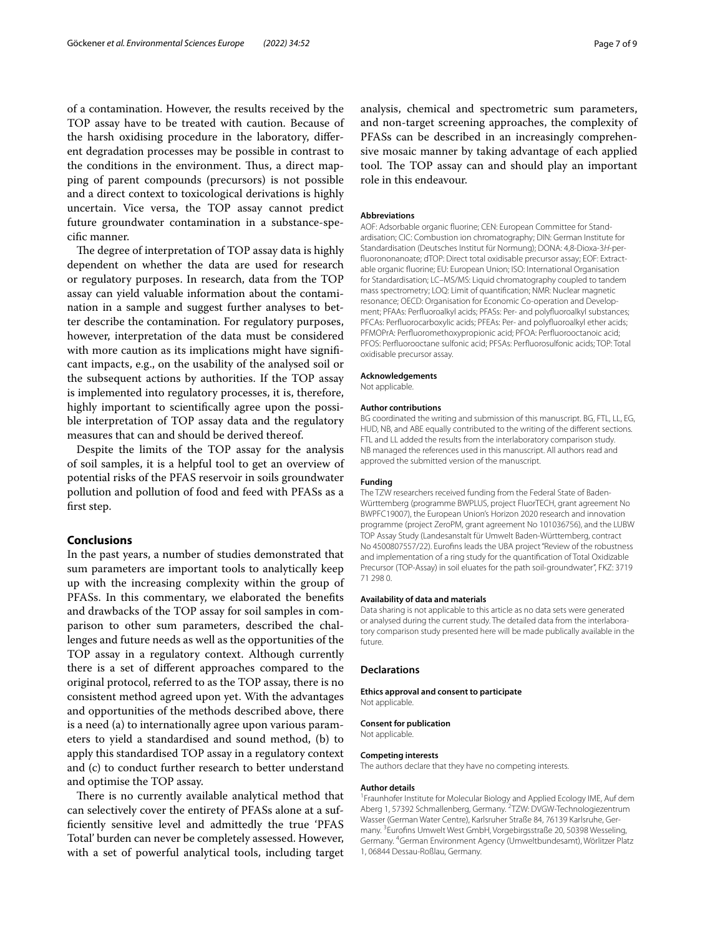of a contamination. However, the results received by the TOP assay have to be treated with caution. Because of the harsh oxidising procedure in the laboratory, diferent degradation processes may be possible in contrast to the conditions in the environment. Thus, a direct mapping of parent compounds (precursors) is not possible and a direct context to toxicological derivations is highly uncertain. Vice versa, the TOP assay cannot predict future groundwater contamination in a substance-specifc manner.

The degree of interpretation of TOP assay data is highly dependent on whether the data are used for research or regulatory purposes. In research, data from the TOP assay can yield valuable information about the contamination in a sample and suggest further analyses to better describe the contamination. For regulatory purposes, however, interpretation of the data must be considered with more caution as its implications might have significant impacts, e.g., on the usability of the analysed soil or the subsequent actions by authorities. If the TOP assay is implemented into regulatory processes, it is, therefore, highly important to scientifcally agree upon the possible interpretation of TOP assay data and the regulatory measures that can and should be derived thereof.

Despite the limits of the TOP assay for the analysis of soil samples, it is a helpful tool to get an overview of potential risks of the PFAS reservoir in soils groundwater pollution and pollution of food and feed with PFASs as a frst step.

## **Conclusions**

In the past years, a number of studies demonstrated that sum parameters are important tools to analytically keep up with the increasing complexity within the group of PFASs. In this commentary, we elaborated the benefts and drawbacks of the TOP assay for soil samples in comparison to other sum parameters, described the challenges and future needs as well as the opportunities of the TOP assay in a regulatory context. Although currently there is a set of diferent approaches compared to the original protocol, referred to as the TOP assay, there is no consistent method agreed upon yet. With the advantages and opportunities of the methods described above, there is a need (a) to internationally agree upon various parameters to yield a standardised and sound method, (b) to apply this standardised TOP assay in a regulatory context and (c) to conduct further research to better understand and optimise the TOP assay.

There is no currently available analytical method that can selectively cover the entirety of PFASs alone at a suffciently sensitive level and admittedly the true 'PFAS Total' burden can never be completely assessed. However, with a set of powerful analytical tools, including target analysis, chemical and spectrometric sum parameters, and non-target screening approaches, the complexity of PFASs can be described in an increasingly comprehensive mosaic manner by taking advantage of each applied tool. The TOP assay can and should play an important role in this endeavour.

#### **Abbreviations**

AOF: Adsorbable organic fluorine; CEN: European Committee for Standardisation; CIC: Combustion ion chromatography; DIN: German Institute for Standardisation (Deutsches Institut für Normung); DONA: 4,8-Dioxa-3*H*-per‑ fluorononanoate; dTOP: Direct total oxidisable precursor assay; EOF: Extractable organic fuorine; EU: European Union; ISO: International Organisation for Standardisation; LC–MS/MS: Liquid chromatography coupled to tandem mass spectrometry; LOQ: Limit of quantifcation; NMR: Nuclear magnetic resonance; OECD: Organisation for Economic Co-operation and Development; PFAAs: Perfuoroalkyl acids; PFASs: Per- and polyfuoroalkyl substances; PFCAs: Perfuorocarboxylic acids; PFEAs: Per- and polyfuoroalkyl ether acids; PFMOPrA: Perfuoromethoxypropionic acid; PFOA: Perfuorooctanoic acid; PFOS: Perfuorooctane sulfonic acid; PFSAs: Perfuorosulfonic acids; TOP: Total oxidisable precursor assay.

# **Acknowledgements**

Not applicable.

## **Author contributions**

BG coordinated the writing and submission of this manuscript. BG, FTL, LL, EG, HUD, NB, and ABE equally contributed to the writing of the diferent sections. FTL and LL added the results from the interlaboratory comparison study. NB managed the references used in this manuscript. All authors read and approved the submitted version of the manuscript.

#### **Funding**

The TZW researchers received funding from the Federal State of Baden-Württemberg (programme BWPLUS, project FluorTECH, grant agreement No BWPFC19007), the European Union's Horizon 2020 research and innovation programme (project ZeroPM, grant agreement No 101036756), and the LUBW TOP Assay Study (Landesanstalt für Umwelt Baden-Württemberg, contract No 4500807557/22). Eurofns leads the UBA project "Review of the robustness and implementation of a ring study for the quantifcation of Total Oxidizable Precursor (TOP-Assay) in soil eluates for the path soil-groundwater", FKZ: 3719 71 298 0.

#### **Availability of data and materials**

Data sharing is not applicable to this article as no data sets were generated or analysed during the current study. The detailed data from the interlaboratory comparison study presented here will be made publically available in the future.

## **Declarations**

#### **Ethics approval and consent to participate** Not applicable.

## **Consent for publication**

Not applicable.

#### **Competing interests**

The authors declare that they have no competing interests.

#### **Author details**

<sup>1</sup> Fraunhofer Institute for Molecular Biology and Applied Ecology IME, Auf dem Aberg 1, 57392 Schmallenberg, Germany. <sup>2</sup>TZW: DVGW-Technologiezentrum Wasser (German Water Centre), Karlsruher Straße 84, 76139 Karlsruhe, Germany. 3 Eurofns Umwelt West GmbH, Vorgebirgsstraße 20, 50398 Wesseling, Germany. <sup>4</sup>German Environment Agency (Umweltbundesamt), Wörlitzer Platz 1, 06844 Dessau‑Roßlau, Germany.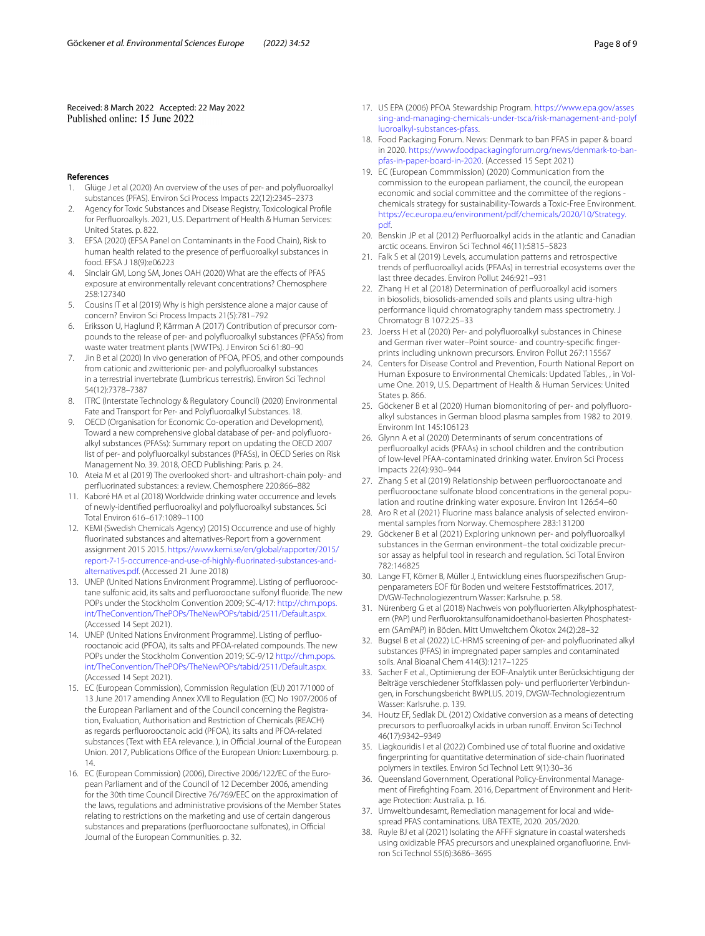Received: 8 March 2022 Accepted: 22 May 2022<br>Published online: 15 June 2022

#### **References**

- <span id="page-7-0"></span>1. Glüge J et al (2020) An overview of the uses of per- and polyfuoroalkyl substances (PFAS). Environ Sci Process Impacts 22(12):2345–2373
- <span id="page-7-1"></span>2. Agency for Toxic Substances and Disease Registry, Toxicological Profle for Perfuoroalkyls. 2021, U.S. Department of Health & Human Services: United States. p. 822.
- <span id="page-7-2"></span>3. EFSA (2020) (EFSA Panel on Contaminants in the Food Chain), Risk to human health related to the presence of perfuoroalkyl substances in food. EFSA J 18(9):e06223
- <span id="page-7-3"></span>4. Sinclair GM, Long SM, Jones OAH (2020) What are the efects of PFAS exposure at environmentally relevant concentrations? Chemosphere 258:127340
- <span id="page-7-4"></span>5. Cousins IT et al (2019) Why is high persistence alone a major cause of concern? Environ Sci Process Impacts 21(5):781–792
- <span id="page-7-5"></span>6. Eriksson U, Haglund P, Kärrman A (2017) Contribution of precursor compounds to the release of per- and polyfuoroalkyl substances (PFASs) from waste water treatment plants (WWTPs). J Environ Sci 61:80–90
- 7. Jin B et al (2020) In vivo generation of PFOA, PFOS, and other compounds from cationic and zwitterionic per- and polyfuoroalkyl substances in a terrestrial invertebrate (Lumbricus terrestris). Environ Sci Technol 54(12):7378–7387
- <span id="page-7-6"></span>8. ITRC (Interstate Technology & Regulatory Council) (2020) Environmental Fate and Transport for Per- and Polyfuoroalkyl Substances. 18.
- <span id="page-7-7"></span>9. OECD (Organisation for Economic Co-operation and Development), Toward a new comprehensive global database of per- and polyfluoroalkyl substances (PFASs): Summary report on updating the OECD 2007 list of per- and polyfuoroalkyl substances (PFASs), in OECD Series on Risk Management No. 39. 2018, OECD Publishing: Paris. p. 24.
- <span id="page-7-8"></span>10. Ateia M et al (2019) The overlooked short- and ultrashort-chain poly- and perfuorinated substances: a review. Chemosphere 220:866–882
- 11. Kaboré HA et al (2018) Worldwide drinking water occurrence and levels of newly-identifed perfuoroalkyl and polyfuoroalkyl substances. Sci Total Environ 616–617:1089–1100
- <span id="page-7-9"></span>12. KEMI (Swedish Chemicals Agency) (2015) Occurrence and use of highly fuorinated substances and alternatives-Report from a government assignment 2015 2015. [https://www.kemi.se/en/global/rapporter/2015/](https://www.kemi.se/en/global/rapporter/2015/report-7-15-occurrence-and-use-of-highly-fluorinated-substances-and-alternatives.pdf) [report-7-15-occurrence-and-use-of-highly-fuorinated-substances-and](https://www.kemi.se/en/global/rapporter/2015/report-7-15-occurrence-and-use-of-highly-fluorinated-substances-and-alternatives.pdf) [alternatives.pdf](https://www.kemi.se/en/global/rapporter/2015/report-7-15-occurrence-and-use-of-highly-fluorinated-substances-and-alternatives.pdf). (Accessed 21 June 2018)
- <span id="page-7-10"></span>13. UNEP (United Nations Environment Programme). Listing of perfluorooctane sulfonic acid, its salts and perfuorooctane sulfonyl fuoride. The new POPs under the Stockholm Convention 2009; SC-4/17: [http://chm.pops.](http://chm.pops.int/TheConvention/ThePOPs/TheNewPOPs/tabid/2511/Default.aspx) [int/TheConvention/ThePOPs/TheNewPOPs/tabid/2511/Default.aspx.](http://chm.pops.int/TheConvention/ThePOPs/TheNewPOPs/tabid/2511/Default.aspx) (Accessed 14 Sept 2021).
- 14. UNEP (United Nations Environment Programme). Listing of perfluorooctanoic acid (PFOA), its salts and PFOA-related compounds. The new POPs under the Stockholm Convention 2019; SC-9/12 [http://chm.pops.](http://chm.pops.int/TheConvention/ThePOPs/TheNewPOPs/tabid/2511/Default.aspx) [int/TheConvention/ThePOPs/TheNewPOPs/tabid/2511/Default.aspx.](http://chm.pops.int/TheConvention/ThePOPs/TheNewPOPs/tabid/2511/Default.aspx) (Accessed 14 Sept 2021).
- 15. EC (European Commission), Commission Regulation (EU) 2017/1000 of 13 June 2017 amending Annex XVII to Regulation (EC) No 1907/2006 of the European Parliament and of the Council concerning the Registration, Evaluation, Authorisation and Restriction of Chemicals (REACH) as regards perfuorooctanoic acid (PFOA), its salts and PFOA-related substances (Text with EEA relevance.), in Official Journal of the European Union. 2017, Publications Office of the European Union: Luxembourg. p. 14.
- 16. EC (European Commission) (2006), Directive 2006/122/EC of the European Parliament and of the Council of 12 December 2006, amending for the 30th time Council Directive 76/769/EEC on the approximation of the laws, regulations and administrative provisions of the Member States relating to restrictions on the marketing and use of certain dangerous substances and preparations (perfluorooctane sulfonates), in Official Journal of the European Communities. p. 32.
- <span id="page-7-11"></span>17. US EPA (2006) PFOA Stewardship Program. [https://www.epa.gov/asses](https://www.epa.gov/assessing-and-managing-chemicals-under-tsca/risk-management-and-polyfluoroalkyl-substances-pfass) [sing-and-managing-chemicals-under-tsca/risk-management-and-polyf](https://www.epa.gov/assessing-and-managing-chemicals-under-tsca/risk-management-and-polyfluoroalkyl-substances-pfass) [luoroalkyl-substances-pfass](https://www.epa.gov/assessing-and-managing-chemicals-under-tsca/risk-management-and-polyfluoroalkyl-substances-pfass).
- <span id="page-7-12"></span>18. Food Packaging Forum. News: Denmark to ban PFAS in paper & board in 2020. [https://www.foodpackagingforum.org/news/denmark-to-ban](https://www.foodpackagingforum.org/news/denmark-to-ban-pfas-in-paper-board-in-2020) [pfas-in-paper-board-in-2020](https://www.foodpackagingforum.org/news/denmark-to-ban-pfas-in-paper-board-in-2020). (Accessed 15 Sept 2021)
- <span id="page-7-13"></span>19. EC (European Commmission) (2020) Communication from the commission to the european parliament, the council, the european economic and social committee and the committee of the regions chemicals strategy for sustainability-Towards a Toxic-Free Environment. [https://ec.europa.eu/environment/pdf/chemicals/2020/10/Strategy.](https://ec.europa.eu/environment/pdf/chemicals/2020/10/Strategy.pdf) [pdf](https://ec.europa.eu/environment/pdf/chemicals/2020/10/Strategy.pdf).
- <span id="page-7-14"></span>20. Benskin JP et al (2012) Perfuoroalkyl acids in the atlantic and Canadian arctic oceans. Environ Sci Technol 46(11):5815–5823
- 21. Falk S et al (2019) Levels, accumulation patterns and retrospective trends of perfuoroalkyl acids (PFAAs) in terrestrial ecosystems over the last three decades. Environ Pollut 246:921–931
- 22. Zhang H et al (2018) Determination of perfuoroalkyl acid isomers in biosolids, biosolids-amended soils and plants using ultra-high performance liquid chromatography tandem mass spectrometry. J Chromatogr B 1072:25–33
- <span id="page-7-15"></span>23. Joerss H et al (2020) Per- and polyfuoroalkyl substances in Chinese and German river water–Point source- and country-specific fingerprints including unknown precursors. Environ Pollut 267:115567
- <span id="page-7-16"></span>24. Centers for Disease Control and Prevention, Fourth National Report on Human Exposure to Environmental Chemicals: Updated Tables, , in Volume One. 2019, U.S. Department of Health & Human Services: United States p. 866
- 25. Göckener B et al (2020) Human biomonitoring of per- and polyfluoroalkyl substances in German blood plasma samples from 1982 to 2019. Environm Int 145:106123
- 26. Glynn A et al (2020) Determinants of serum concentrations of perfuoroalkyl acids (PFAAs) in school children and the contribution of low-level PFAA-contaminated drinking water. Environ Sci Process Impacts 22(4):930–944
- <span id="page-7-17"></span>27. Zhang S et al (2019) Relationship between perfuorooctanoate and perfluorooctane sulfonate blood concentrations in the general population and routine drinking water exposure. Environ Int 126:54–60
- <span id="page-7-18"></span>28. Aro R et al (2021) Fluorine mass balance analysis of selected environmental samples from Norway. Chemosphere 283:131200
- <span id="page-7-19"></span>29. Göckener B et al (2021) Exploring unknown per- and polyfuoroalkyl substances in the German environment-the total oxidizable precursor assay as helpful tool in research and regulation. Sci Total Environ 782:146825
- <span id="page-7-20"></span>30. Lange FT, Körner B, Müller J, Entwicklung eines fluorspezifischen Gruppenparameters EOF für Boden und weitere Feststofmatrices. 2017, DVGW-Technologiezentrum Wasser: Karlsruhe. p. 58.
- 31. Nürenberg G et al (2018) Nachweis von polyfluorierten Alkylphosphatestern (PAP) und Perfluoroktansulfonamidoethanol-basierten Phosphatestern (SAmPAP) in Böden. Mitt Umweltchem Ökotox 24(2):28–32
- 32. Bugsel B et al (2022) LC-HRMS screening of per- and polyfuorinated alkyl substances (PFAS) in impregnated paper samples and contaminated soils. Anal Bioanal Chem 414(3):1217–1225
- <span id="page-7-21"></span>33. Sacher F et al., Optimierung der EOF-Analytik unter Berücksichtigung der Beiträge verschiedener Stoffklassen poly- und perfluorierter Verbindungen, in Forschungsbericht BWPLUS. 2019, DVGW-Technologiezentrum Wasser: Karlsruhe. p. 139.
- <span id="page-7-22"></span>34. Houtz EF, Sedlak DL (2012) Oxidative conversion as a means of detecting precursors to perfluoroalkyl acids in urban runoff. Environ Sci Technol 46(17):9342–9349
- <span id="page-7-23"></span>35. Liagkouridis I et al (2022) Combined use of total fuorine and oxidative fngerprinting for quantitative determination of side-chain fuorinated polymers in textiles. Environ Sci Technol Lett 9(1):30–36
- <span id="page-7-24"></span>36. Queensland Government, Operational Policy-Environmental Management of Firefighting Foam. 2016, Department of Environment and Heritage Protection: Australia. p. 16.
- <span id="page-7-25"></span>37. Umweltbundesamt, Remediation management for local and widespread PFAS contaminations. UBA TEXTE, 2020. 205/2020.
- <span id="page-7-26"></span>38. Ruyle BJ et al (2021) Isolating the AFFF signature in coastal watersheds using oxidizable PFAS precursors and unexplained organofluorine. Environ Sci Technol 55(6):3686–3695